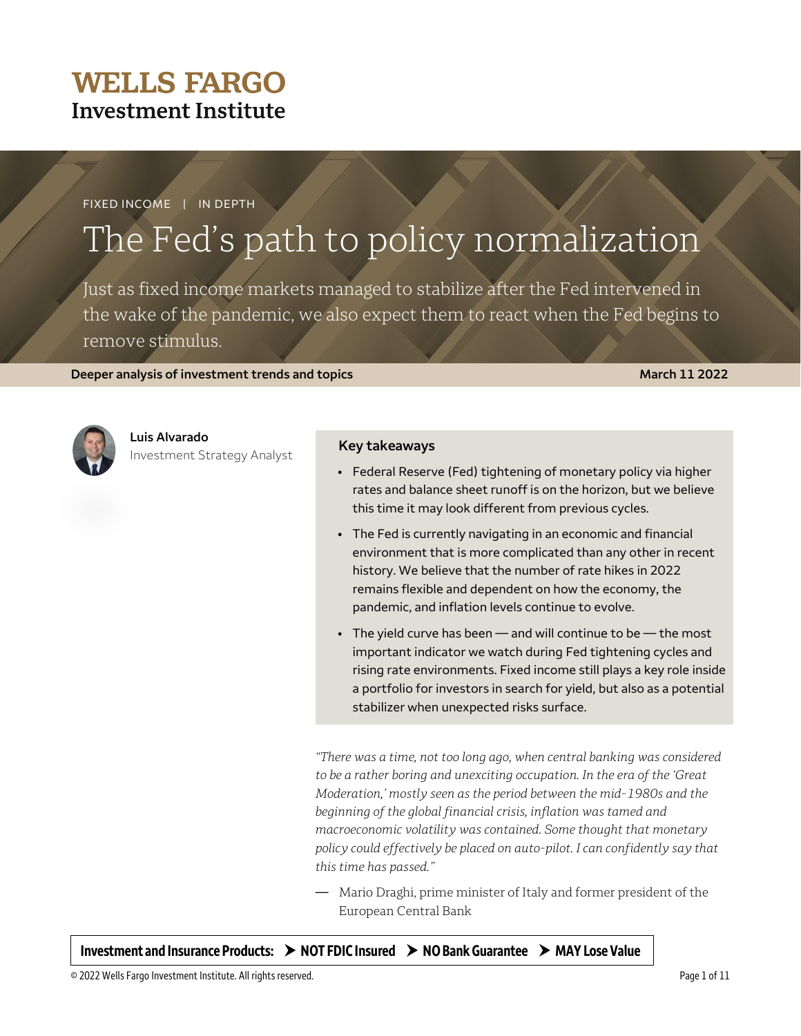## **WELLS FARGO Investment Institute**

FIXED INCOME | IN DEPTH

# The Fed's path to policy normalization

Just as fixed income markets managed to stabilize after the Fed intervened in the wake of the pandemic, we also expect them to react when the Fed begins to remove stimulus.

**Deeper analysis of investment trends and topics <b>March 2002 March 11 2022** 



### **Luis Alvarado**

Investment Strategy Analyst **Key takeaways**

- Federal Reserve (Fed) tightening of monetary policy via higher rates and balance sheet runoff is on the horizon, but we believe this time it may look different from previous cycles.
- The Fed is currently navigating in an economic and financial environment that is more complicated than any other in recent history. We believe that the number of rate hikes in 2022 remains flexible and dependent on how the economy, the pandemic, and inflation levels continue to evolve.
- $\bullet$  The yield curve has been  $-$  and will continue to be  $-$  the most important indicator we watch during Fed tightening cycles and rising rate environments. Fixed income still plays a key role inside a portfolio for investors in search for yield, but also as a potential stabilizer when unexpected risks surface.

*"There was a time, not too long ago, when central banking was considered to be a rather boring and unexciting occupation. In the era of the 'Great Moderation,' mostly seen as the period between the mid-1980s and the beginning of the global financial crisis, inflation was tamed and macroeconomic volatility was contained. Some thought that monetary policy could effectively be placed on auto-pilot. I can confidently say that this time has passed."* 

— Mario Draghi, prime minister of Italy and former president of the European Central Bank

Investment and Insurance Products:  $\rightarrow$  NOT FDIC Insured  $\rightarrow$  NO Bank Guarantee  $\rightarrow$  MAY Lose Value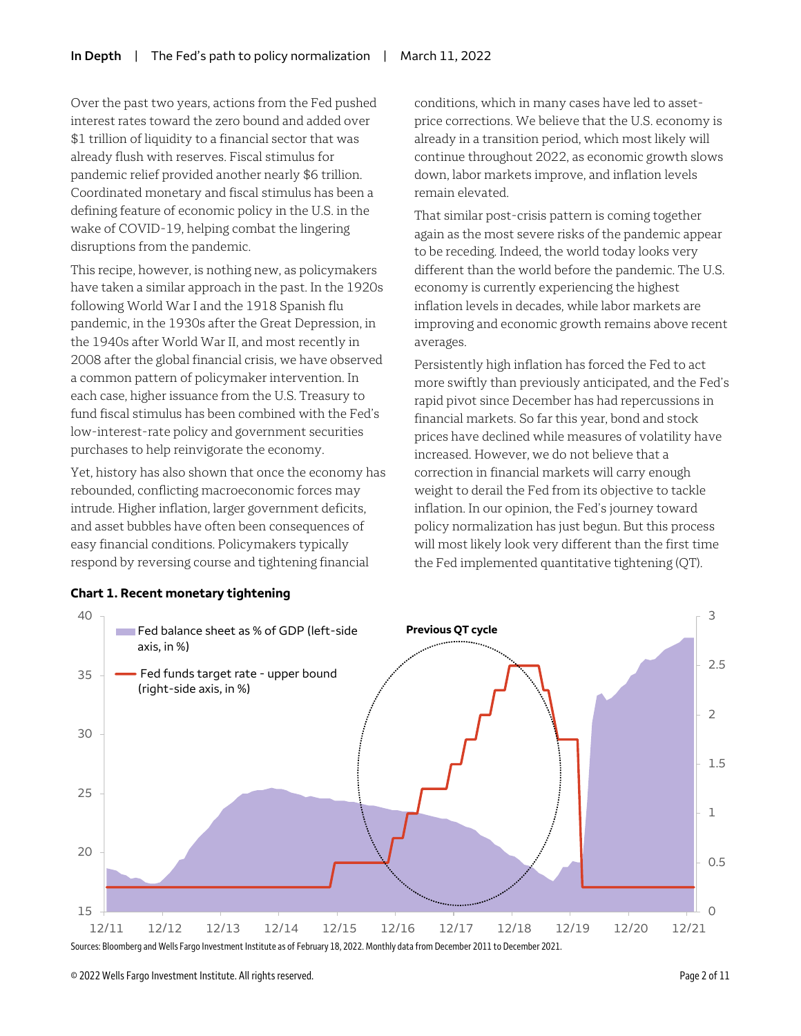Over the past two years, actions from the Fed pushed interest rates toward the zero bound and added over \$1 trillion of liquidity to a financial sector that was already flush with reserves. Fiscal stimulus for pandemic relief provided another nearly \$6 trillion. Coordinated monetary and fiscal stimulus has been a defining feature of economic policy in the U.S. in the wake of COVID-19, helping combat the lingering disruptions from the pandemic.

This recipe, however, is nothing new, as policymakers have taken a similar approach in the past. In the 1920s following World War I and the 1918 Spanish flu pandemic, in the 1930s after the Great Depression, in the 1940s after World War II, and most recently in 2008 after the global financial crisis, we have observed a common pattern of policymaker intervention. In each case, higher issuance from the U.S. Treasury to fund fiscal stimulus has been combined with the Fed's low-interest-rate policy and government securities purchases to help reinvigorate the economy.

Yet, history has also shown that once the economy has rebounded, conflicting macroeconomic forces may intrude. Higher inflation, larger government deficits, and asset bubbles have often been consequences of easy financial conditions. Policymakers typically respond by reversing course and tightening financial

conditions, which in many cases have led to assetprice corrections. We believe that the U.S. economy is already in a transition period, which most likely will continue throughout 2022, as economic growth slows down, labor markets improve, and inflation levels remain elevated.

That similar post-crisis pattern is coming together again as the most severe risks of the pandemic appear to be receding. Indeed, the world today looks very different than the world before the pandemic. The U.S. economy is currently experiencing the highest inflation levels in decades, while labor markets are improving and economic growth remains above recent averages.

Persistently high inflation has forced the Fed to act more swiftly than previously anticipated, and the Fed's rapid pivot since December has had repercussions in financial markets. So far this year, bond and stock prices have declined while measures of volatility have increased. However, we do not believe that a correction in financial markets will carry enough weight to derail the Fed from its objective to tackle inflation. In our opinion, the Fed's journey toward policy normalization has just begun. But this process will most likely look very different than the first time the Fed implemented quantitative tightening (QT).



**Chart 1. Recent monetary tightening**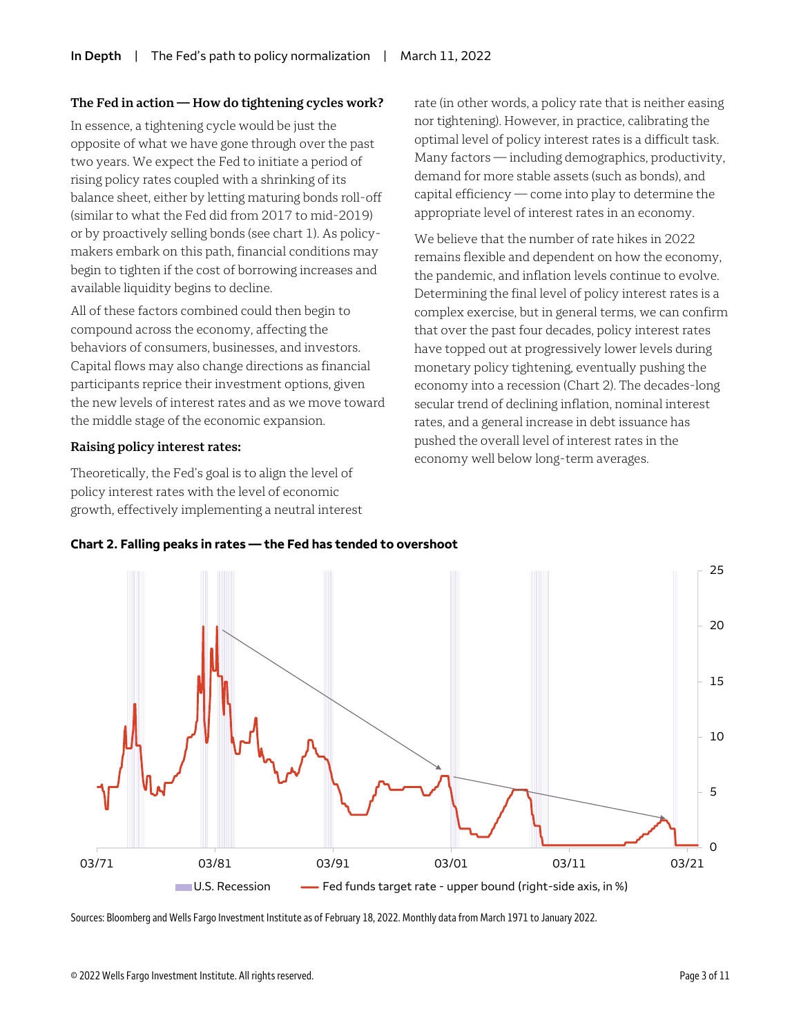#### **The Fed in action — How do tightening cycles work?**

In essence, a tightening cycle would be just the opposite of what we have gone through over the past two years. We expect the Fed to initiate a period of rising policy rates coupled with a shrinking of its balance sheet, either by letting maturing bonds roll-off (similar to what the Fed did from 2017 to mid-2019) or by proactively selling bonds (see chart 1). As policymakers embark on this path, financial conditions may begin to tighten if the cost of borrowing increases and available liquidity begins to decline.

All of these factors combined could then begin to compound across the economy, affecting the behaviors of consumers, businesses, and investors. Capital flows may also change directions as financial participants reprice their investment options, given the new levels of interest rates and as we move toward the middle stage of the economic expansion.

#### **Raising policy interest rates:**

Theoretically, the Fed's goal is to align the level of policy interest rates with the level of economic growth, effectively implementing a neutral interest rate (in other words, a policy rate that is neither easing nor tightening). However, in practice, calibrating the optimal level of policy interest rates is a difficult task. Many factors — including demographics, productivity, demand for more stable assets (such as bonds), and capital efficiency — come into play to determine the appropriate level of interest rates in an economy.

We believe that the number of rate hikes in 2022 remains flexible and dependent on how the economy, the pandemic, and inflation levels continue to evolve. Determining the final level of policy interest rates is a complex exercise, but in general terms, we can confirm that over the past four decades, policy interest rates have topped out at progressively lower levels during monetary policy tightening, eventually pushing the economy into a recession (Chart 2). The decades-long secular trend of declining inflation, nominal interest rates, and a general increase in debt issuance has pushed the overall level of interest rates in the economy well below long-term averages.





Sources: Bloomberg and Wells Fargo Investment Institute as of February 18, 2022. Monthly data from March 1971 to January 2022.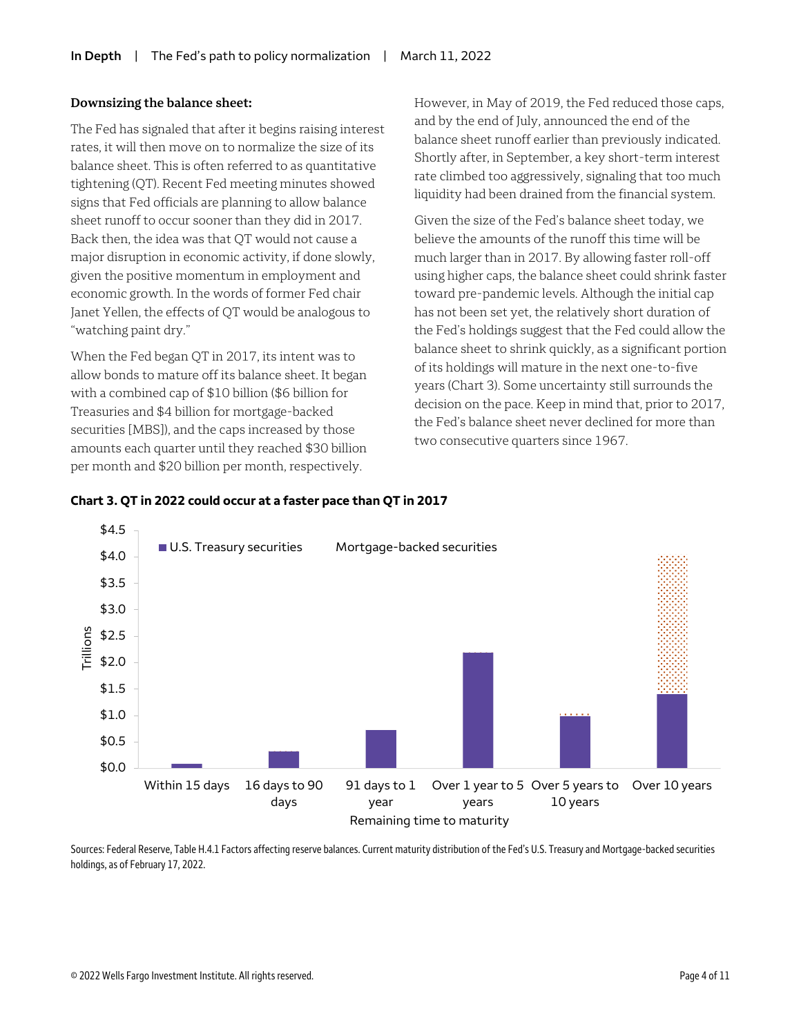#### **Downsizing the balance sheet:**

The Fed has signaled that after it begins raising interest rates, it will then move on to normalize the size of its balance sheet. This is often referred to as quantitative tightening (QT). Recent Fed meeting minutes showed signs that Fed officials are planning to allow balance sheet runoff to occur sooner than they did in 2017. Back then, the idea was that QT would not cause a major disruption in economic activity, if done slowly, given the positive momentum in employment and economic growth. In the words of former Fed chair Janet Yellen, the effects of QT would be analogous to "watching paint dry."

When the Fed began QT in 2017, its intent was to allow bonds to mature off its balance sheet. It began with a combined cap of \$10 billion (\$6 billion for Treasuries and \$4 billion for mortgage-backed securities [MBS]), and the caps increased by those amounts each quarter until they reached \$30 billion per month and \$20 billion per month, respectively.

However, in May of 2019, the Fed reduced those caps, and by the end of July, announced the end of the balance sheet runoff earlier than previously indicated. Shortly after, in September, a key short-term interest rate climbed too aggressively, signaling that too much liquidity had been drained from the financial system.

Given the size of the Fed's balance sheet today, we believe the amounts of the runoff this time will be much larger than in 2017. By allowing faster roll-off using higher caps, the balance sheet could shrink faster toward pre-pandemic levels. Although the initial cap has not been set yet, the relatively short duration of the Fed's holdings suggest that the Fed could allow the balance sheet to shrink quickly, as a significant portion of its holdings will mature in the next one-to-five years (Chart 3). Some uncertainty still surrounds the decision on the pace. Keep in mind that, prior to 2017, the Fed's balance sheet never declined for more than two consecutive quarters since 1967.





Sources: Federal Reserve, Table H.4.1 Factors affecting reserve balances. Current maturity distribution of the Fed's U.S. Treasury and Mortgage-backed securities holdings, as of February 17, 2022.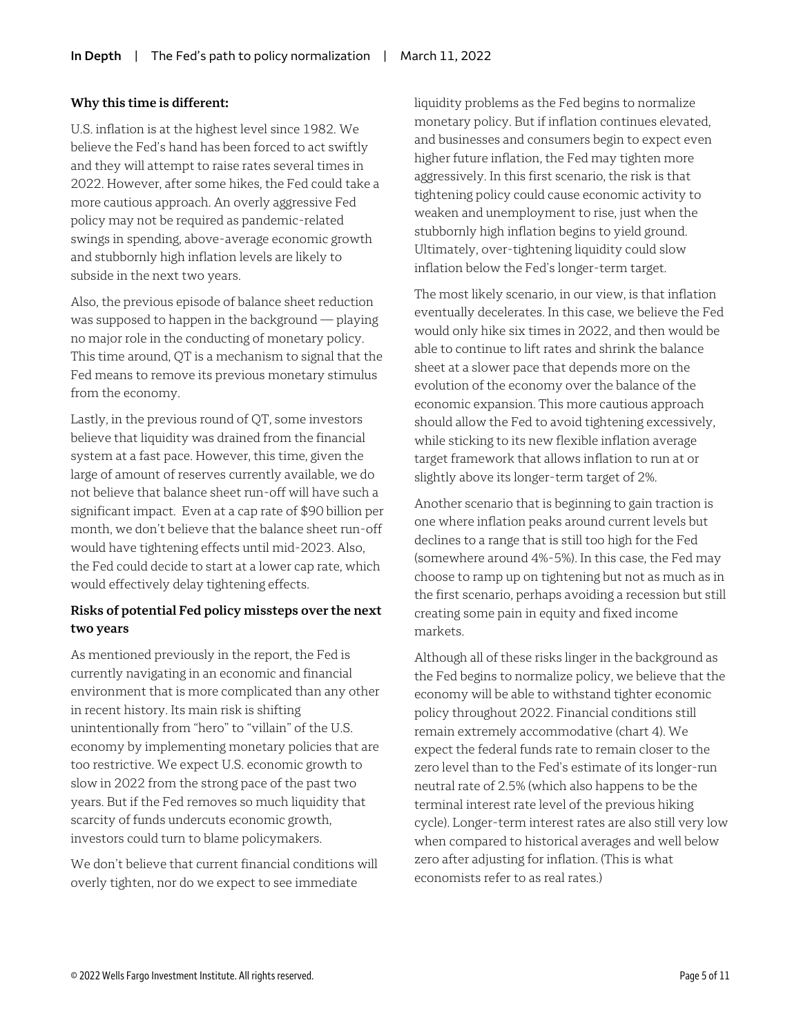#### **Why this time is different:**

U.S. inflation is at the highest level since 1982. We believe the Fed's hand has been forced to act swiftly and they will attempt to raise rates several times in 2022. However, after some hikes, the Fed could take a more cautious approach. An overly aggressive Fed policy may not be required as pandemic-related swings in spending, above-average economic growth and stubbornly high inflation levels are likely to subside in the next two years.

Also, the previous episode of balance sheet reduction was supposed to happen in the background  $-$  playing no major role in the conducting of monetary policy. This time around, QT is a mechanism to signal that the Fed means to remove its previous monetary stimulus from the economy.

Lastly, in the previous round of QT, some investors believe that liquidity was drained from the financial system at a fast pace. However, this time, given the large of amount of reserves currently available, we do not believe that balance sheet run-off will have such a significant impact. Even at a cap rate of \$90 billion per month, we don't believe that the balance sheet run-off would have tightening effects until mid-2023. Also, the Fed could decide to start at a lower cap rate, which would effectively delay tightening effects.

### **Risks of potential Fed policy missteps over the next two years**

As mentioned previously in the report, the Fed is currently navigating in an economic and financial environment that is more complicated than any other in recent history. Its main risk is shifting unintentionally from "hero" to "villain" of the U.S. economy by implementing monetary policies that are too restrictive. We expect U.S. economic growth to slow in 2022 from the strong pace of the past two years. But if the Fed removes so much liquidity that scarcity of funds undercuts economic growth, investors could turn to blame policymakers.

We don't believe that current financial conditions will overly tighten, nor do we expect to see immediate

liquidity problems as the Fed begins to normalize monetary policy. But if inflation continues elevated, and businesses and consumers begin to expect even higher future inflation, the Fed may tighten more aggressively. In this first scenario, the risk is that tightening policy could cause economic activity to weaken and unemployment to rise, just when the stubbornly high inflation begins to yield ground. Ultimately, over-tightening liquidity could slow inflation below the Fed's longer-term target.

The most likely scenario, in our view, is that inflation eventually decelerates. In this case, we believe the Fed would only hike six times in 2022, and then would be able to continue to lift rates and shrink the balance sheet at a slower pace that depends more on the evolution of the economy over the balance of the economic expansion. This more cautious approach should allow the Fed to avoid tightening excessively, while sticking to its new flexible inflation average target framework that allows inflation to run at or slightly above its longer-term target of 2%.

Another scenario that is beginning to gain traction is one where inflation peaks around current levels but declines to a range that is still too high for the Fed (somewhere around 4%-5%). In this case, the Fed may choose to ramp up on tightening but not as much as in the first scenario, perhaps avoiding a recession but still creating some pain in equity and fixed income markets.

Although all of these risks linger in the background as the Fed begins to normalize policy, we believe that the economy will be able to withstand tighter economic policy throughout 2022. Financial conditions still remain extremely accommodative (chart 4). We expect the federal funds rate to remain closer to the zero level than to the Fed's estimate of its longer-run neutral rate of 2.5% (which also happens to be the terminal interest rate level of the previous hiking cycle). Longer-term interest rates are also still very low when compared to historical averages and well below zero after adjusting for inflation. (This is what economists refer to as real rates.)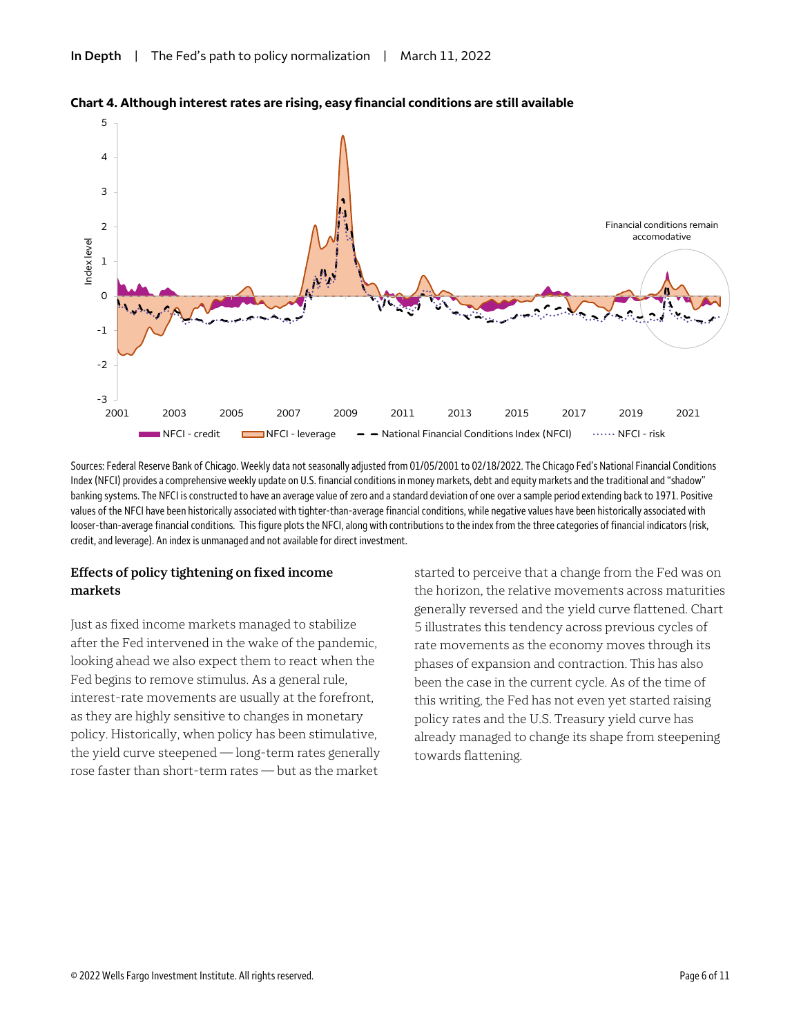

#### **Chart 4. Although interest rates are rising, easy financial conditions are still available**

Sources: Federal Reserve Bank of Chicago. Weekly data not seasonally adjusted from 01/05/2001 to 02/18/2022. The Chicago Fed's National Financial Conditions Index (NFCI) provides a comprehensive weekly update on U.S. financial conditions in money markets, debt and equity markets and the traditional and "shadow" banking systems. The NFCI is constructed to have an average value of zero and a standard deviation of one over a sample period extending back to 1971. Positive values of the NFCI have been historically associated with tighter-than-average financial conditions, while negative values have been historically associated with looser-than-average financial conditions. This figure plots the NFCI, along with contributions to the index from the three categories of financial indicators (risk, credit, and leverage). An index is unmanaged and not available for direct investment.

#### **Effects of policy tightening on fixed income markets**

Just as fixed income markets managed to stabilize after the Fed intervened in the wake of the pandemic, looking ahead we also expect them to react when the Fed begins to remove stimulus. As a general rule, interest-rate movements are usually at the forefront, as they are highly sensitive to changes in monetary policy. Historically, when policy has been stimulative, the yield curve steepened — long-term rates generally rose faster than short-term rates — but as the market

started to perceive that a change from the Fed was on the horizon, the relative movements across maturities generally reversed and the yield curve flattened. Chart 5 illustrates this tendency across previous cycles of rate movements as the economy moves through its phases of expansion and contraction. This has also been the case in the current cycle. As of the time of this writing, the Fed has not even yet started raising policy rates and the U.S. Treasury yield curve has already managed to change its shape from steepening towards flattening.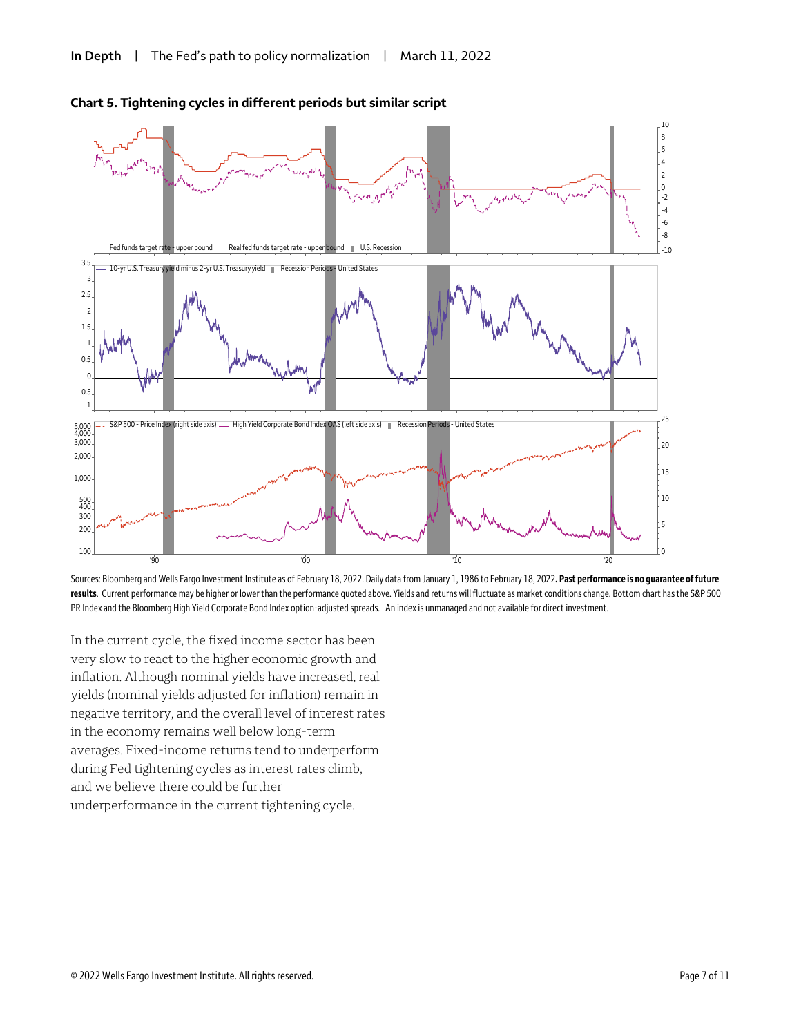

#### **Chart 5. Tightening cycles in different periods but similar script**

Sources: Bloomberg and Wells Fargo Investment Institute as of February 18, 2022. Daily data from January 1, 1986 to February 18, 2022**. Past performance is no guarantee of future results**. Current performance may be higher or lower than the performance quoted above. Yields and returns will fluctuate as market conditions change. Bottom chart has the S&P 500 PR Index and the Bloomberg High Yield Corporate Bond Index option-adjusted spreads. An index is unmanaged and not available for direct investment.

In the current cycle, the fixed income sector has been very slow to react to the higher economic growth and inflation. Although nominal yields have increased, real yields (nominal yields adjusted for inflation) remain in negative territory, and the overall level of interest rates in the economy remains well below long-term averages. Fixed-income returns tend to underperform during Fed tightening cycles as interest rates climb, and we believe there could be further underperformance in the current tightening cycle.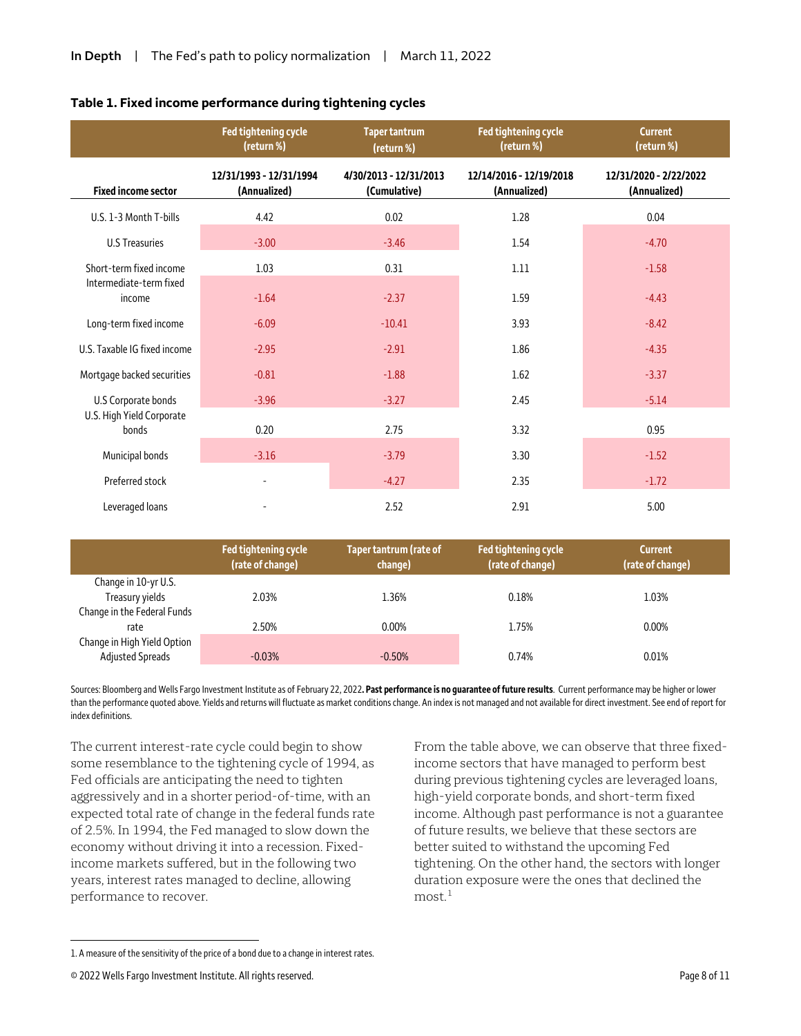|                                    | <b>Fed tightening cycle</b><br>(return %) | <b>Taper tantrum</b><br>(return %)     | Fed tightening cycle<br>(return %)      | <b>Current</b><br>(return %)           |
|------------------------------------|-------------------------------------------|----------------------------------------|-----------------------------------------|----------------------------------------|
| <b>Fixed income sector</b>         | 12/31/1993 - 12/31/1994<br>(Annualized)   | 4/30/2013 - 12/31/2013<br>(Cumulative) | 12/14/2016 - 12/19/2018<br>(Annualized) | 12/31/2020 - 2/22/2022<br>(Annualized) |
| U.S. 1-3 Month T-bills             | 4.42                                      | 0.02                                   | 1.28                                    | 0.04                                   |
| <b>U.S Treasuries</b>              | $-3.00$                                   | $-3.46$                                | 1.54                                    | $-4.70$                                |
| Short-term fixed income            | 1.03                                      | 0.31                                   | 1.11                                    | $-1.58$                                |
| Intermediate-term fixed<br>income  | $-1.64$                                   | $-2.37$                                | 1.59                                    | $-4.43$                                |
| Long-term fixed income             | $-6.09$                                   | $-10.41$                               | 3.93                                    | $-8.42$                                |
| U.S. Taxable IG fixed income       | $-2.95$                                   | $-2.91$                                | 1.86                                    | $-4.35$                                |
| Mortgage backed securities         | $-0.81$                                   | $-1.88$                                | 1.62                                    | $-3.37$                                |
| U.S Corporate bonds                | $-3.96$                                   | $-3.27$                                | 2.45                                    | $-5.14$                                |
| U.S. High Yield Corporate<br>bonds | 0.20                                      | 2.75                                   | 3.32                                    | 0.95                                   |
| Municipal bonds                    | $-3.16$                                   | $-3.79$                                | 3.30                                    | $-1.52$                                |
| Preferred stock                    |                                           | $-4.27$                                | 2.35                                    | $-1.72$                                |
| Leveraged loans                    |                                           | 2.52                                   | 2.91                                    | 5.00                                   |

#### **Table 1. Fixed income performance during tightening cycles**

|                             | Fed tightening cycle<br>(rate of change) | Taper tantrum (rate of<br>change) | Fed tightening cycle<br>(rate of change) | <b>Current</b><br>(rate of change) |
|-----------------------------|------------------------------------------|-----------------------------------|------------------------------------------|------------------------------------|
| Change in 10-yr U.S.        |                                          |                                   |                                          |                                    |
| Treasury yields             | 2.03%                                    | 1.36%                             | 0.18%                                    | 1.03%                              |
| Change in the Federal Funds |                                          |                                   |                                          |                                    |
| rate                        | 2.50%                                    | $0.00\%$                          | 1.75%                                    | $0.00\%$                           |
| Change in High Yield Option |                                          |                                   |                                          |                                    |
| <b>Adjusted Spreads</b>     | $-0.03%$                                 | $-0.50%$                          | 0.74%                                    | 0.01%                              |

Sources: Bloomberg and Wells Fargo Investment Institute as of February 22, 2022**. Past performance is no guarantee of future results**. Current performance may be higher or lower than the performance quoted above. Yields and returns will fluctuate as market conditions change. An index is not managed and not available for direct investment. See end of report for index definitions.

The current interest-rate cycle could begin to show some resemblance to the tightening cycle of 1994, as Fed officials are anticipating the need to tighten aggressively and in a shorter period-of-time, with an expected total rate of change in the federal funds rate of 2.5%. In 1994, the Fed managed to slow down the economy without driving it into a recession. Fixedincome markets suffered, but in the following two years, interest rates managed to decline, allowing performance to recover.

From the table above, we can observe that three fixedincome sectors that have managed to perform best during previous tightening cycles are leveraged loans, high-yield corporate bonds, and short-term fixed income. Although past performance is not a guarantee of future results, we believe that these sectors are better suited to withstand the upcoming Fed tightening. On the other hand, the sectors with longer duration exposure were the ones that declined the  $most.<sup>1</sup>$  $most.<sup>1</sup>$  $most.<sup>1</sup>$ 

 $\overline{a}$ 

<span id="page-7-0"></span><sup>1.</sup> A measure of the sensitivity of the price of a bond due to a change in interest rates.

<sup>© 2022</sup> Wells Fargo Investment Institute. All rights reserved. Page 8 of 11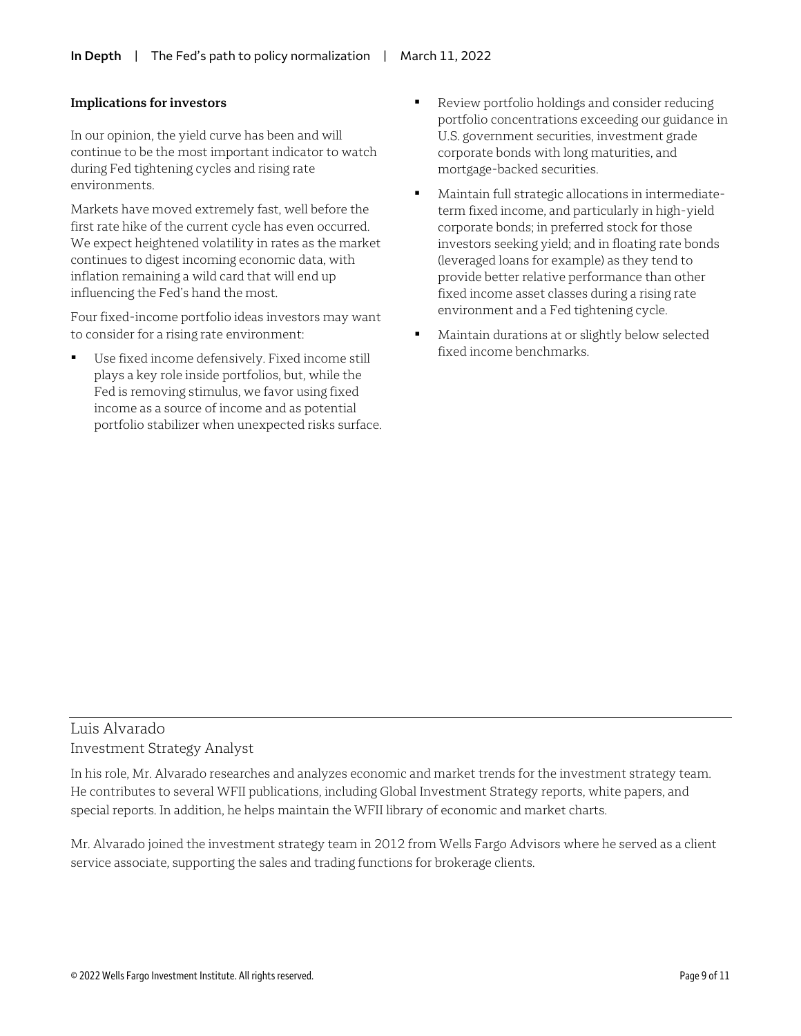#### **Implications for investors**

In our opinion, the yield curve has been and will continue to be the most important indicator to watch during Fed tightening cycles and rising rate environments.

Markets have moved extremely fast, well before the first rate hike of the current cycle has even occurred. We expect heightened volatility in rates as the market continues to digest incoming economic data, with inflation remaining a wild card that will end up influencing the Fed's hand the most.

Four fixed-income portfolio ideas investors may want to consider for a rising rate environment:

 Use fixed income defensively. Fixed income still plays a key role inside portfolios, but, while the Fed is removing stimulus, we favor using fixed income as a source of income and as potential portfolio stabilizer when unexpected risks surface.

- Review portfolio holdings and consider reducing portfolio concentrations exceeding our guidance in U.S. government securities, investment grade corporate bonds with long maturities, and mortgage-backed securities.
- Maintain full strategic allocations in intermediateterm fixed income, and particularly in high-yield corporate bonds; in preferred stock for those investors seeking yield; and in floating rate bonds (leveraged loans for example) as they tend to provide better relative performance than other fixed income asset classes during a rising rate environment and a Fed tightening cycle.
- Maintain durations at or slightly below selected fixed income benchmarks.

## Luis Alvarado Investment Strategy Analyst

In his role, Mr. Alvarado researches and analyzes economic and market trends for the investment strategy team. He contributes to several WFII publications, including Global Investment Strategy reports, white papers, and special reports. In addition, he helps maintain the WFII library of economic and market charts.

Mr. Alvarado joined the investment strategy team in 2012 from Wells Fargo Advisors where he served as a client service associate, supporting the sales and trading functions for brokerage clients.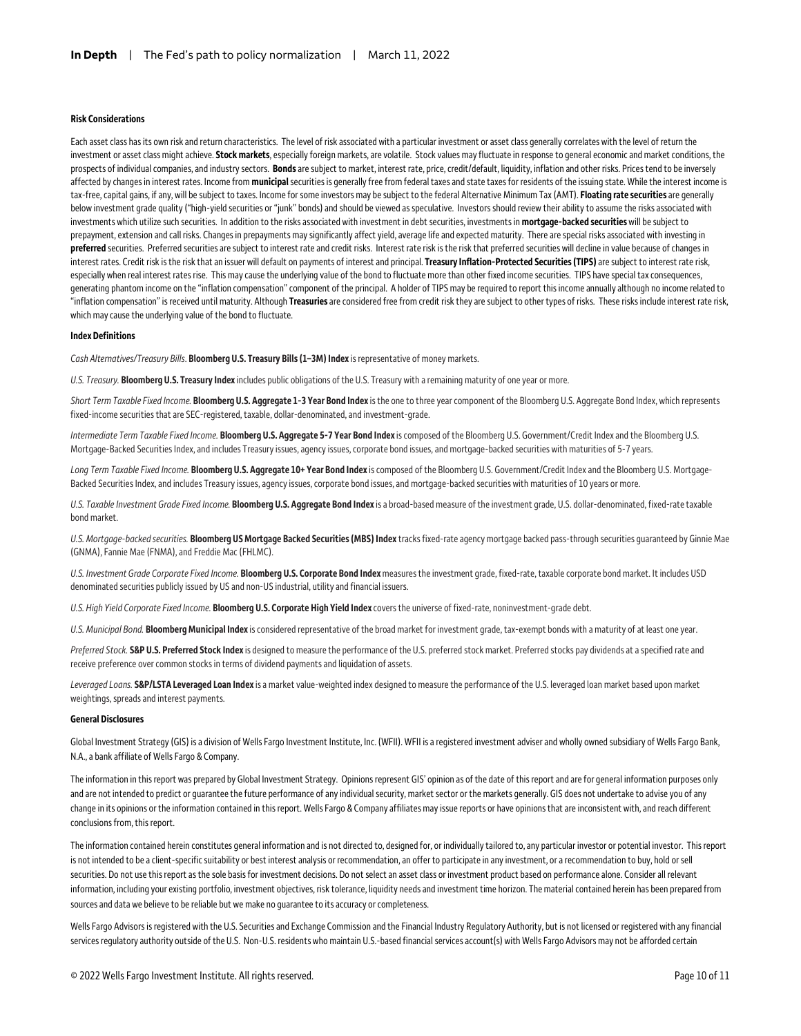#### **Risk Considerations**

Each asset class has its own risk and return characteristics. The level of risk associated with a particular investment or asset class generally correlates with the level of return the investment or asset class might achieve. **Stock markets**, especially foreign markets, are volatile. Stock values may fluctuate in response to general economic and market conditions, the prospects of individual companies, and industry sectors. **Bonds**are subject to market, interest rate, price, credit/default, liquidity, inflation and other risks. Prices tend to be inversely affected by changes in interest rates. Income from **municipal**securities is generally free from federal taxes and state taxes for residents of the issuing state. While the interest income is tax-free, capital gains, if any, will be subject to taxes. Income for some investors may be subject to the federal Alternative Minimum Tax (AMT). **Floating rate securities**are generally below investment grade quality ("high-yield securities or "junk" bonds) and should be viewed as speculative. Investors should review their ability to assume the risks associated with investments which utilize such securities. In addition to the risks associated with investment in debt securities, investments in **mortgage-backed securities** will be subject to prepayment, extension and call risks. Changes in prepayments may significantly affect yield, average life and expected maturity. There are special risks associated with investing in **preferred** securities. Preferred securities are subject to interest rate and credit risks. Interest rate risk is the risk that preferred securities will decline in value because of changes in interest rates. Credit risk is the risk that an issuer will default on payments of interest and principal. **Treasury Inflation-Protected Securities (TIPS)**are subject to interest rate risk, especially when real interest rates rise. This may cause the underlying value of the bond to fluctuate more than other fixed income securities. TIPS have special tax consequences, generating phantom income on the "inflation compensation" component of the principal. A holder of TIPS may be required to report this income annually although no income related to "inflation compensation" is received until maturity. Although **Treasuries** are considered free from credit risk they are subject to other types of risks. These risks include interest rate risk, which may cause the underlying value of the bond to fluctuate.

#### **Index Definitions**

*Cash Alternatives/Treasury Bills*. **Bloomberg U.S. Treasury Bills (1–3M) Index** is representative of money markets.

*U.S. Treasury.* **Bloomberg U.S. Treasury Index** includes public obligations of the U.S. Treasury with a remaining maturity of one year or more.

*Short Term Taxable Fixed Income.* **Bloomberg U.S. Aggregate 1-3 Year Bond Index** is the one to three year component of the Bloomberg U.S. Aggregate Bond Index, which represents fixed-income securities that are SEC-registered, taxable, dollar-denominated, and investment-grade.

*Intermediate Term Taxable Fixed Income.* **Bloomberg U.S. Aggregate 5-7 Year Bond Index** is composed of the Bloomberg U.S. Government/Credit Index and the Bloomberg U.S. Mortgage-Backed Securities Index, and includes Treasury issues, agency issues, corporate bond issues, and mortgage-backed securities with maturities of 5-7 years.

*Long Term Taxable Fixed Income.* **Bloomberg U.S. Aggregate 10+ Year Bond Index** is composed of the Bloomberg U.S. Government/Credit Index and the Bloomberg U.S. Mortgage-Backed Securities Index, and includes Treasury issues, agency issues, corporate bond issues, and mortgage-backed securities with maturities of 10 years or more.

U.S. Taxable Investment Grade Fixed Income. **Bloomberg U.S. Aggregate Bond Index** is a broad-based measure of the investment grade, U.S. dollar-denominated, fixed-rate taxable bond market.

*U.S. Mortgage-backed securities.* **Bloomberg US Mortgage Backed Securities (MBS) Index**tracks fixed-rate agency mortgage backed pass-through securities guaranteed by Ginnie Mae (GNMA), Fannie Mae (FNMA), and Freddie Mac (FHLMC).

U.S. Investment Grade Corporate Fixed Income. **Bloomberg U.S. Corporate Bond Index** measures the investment grade, fixed-rate, taxable corporate bond market. It includes USD denominated securities publicly issued by US and non-US industrial, utility and financial issuers.

*U.S. High Yield Corporate Fixed Income.* **Bloomberg U.S. Corporate High Yield Index** covers the universe of fixed-rate, noninvestment-grade debt.

*U.S. Municipal Bond.* **Bloomberg Municipal Index** is considered representative of the broad market for investment grade, tax-exempt bonds with a maturity of at least one year.

*Preferred Stock.* **S&P U.S. Preferred Stock Index** is designed to measure the performance of the U.S. preferred stock market. Preferred stocks pay dividends at a specified rate and receive preference over common stocks in terms of dividend payments and liquidation of assets.

Leveraged Loans. S&P/LSTA Leveraged Loan Index is a market value-weighted index designed to measure the performance of the U.S. leveraged loan market based upon market weightings, spreads and interest payments.

#### **General Disclosures**

Global Investment Strategy (GIS) is a division of Wells Fargo Investment Institute, Inc. (WFII). WFII is a registered investment adviser and wholly owned subsidiary of Wells Fargo Bank, N.A., a bank affiliate of Wells Fargo & Company.

The information in this report was prepared by Global Investment Strategy. Opinions represent GIS' opinion as of the date of this report and are for general information purposes only and are not intended to predict or quarantee the future performance of any individual security, market sector or the markets generally. GIS does not undertake to advise you of any change in its opinions or the information contained in this report. Wells Fargo & Company affiliates may issue reports or have opinions that are inconsistent with, and reach different conclusions from, this report.

The information contained herein constitutes general information and is not directed to, designed for, or individually tailored to, any particular investor or potential investor. This report is not intended to be a client-specific suitability or best interest analysis or recommendation, an offer to participate in any investment, or a recommendation to buy, hold or sell securities. Do not use this report as the sole basis for investment decisions. Do not select an asset class or investment product based on performance alone. Consider all relevant information, including your existing portfolio, investment objectives, risk tolerance, liquidity needs and investment time horizon. The material contained herein has been prepared from sources and data we believe to be reliable but we make no guarantee to its accuracy or completeness.

Wells Fargo Advisors is registered with the U.S. Securities and Exchange Commission and the Financial Industry Regulatory Authority, but is not licensed or registered with any financial services regulatory authority outside of the U.S. Non-U.S. residents who maintain U.S.-based financial services account(s) with Wells Fargo Advisors may not be afforded certain